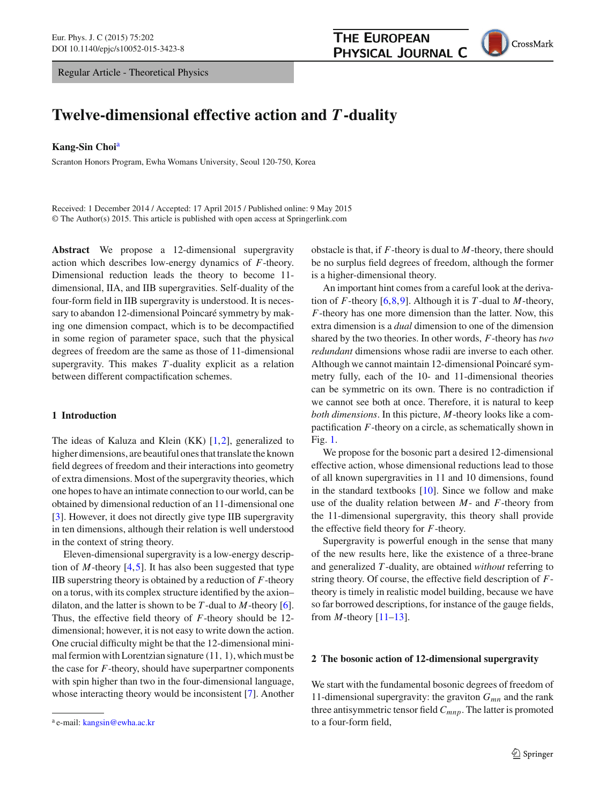Regular Article - Theoretical Physics



# **Twelve-dimensional effective action and** *T***-duality**

### **Kang-Sin Choi**<sup>a</sup>

Scranton Honors Program, Ewha Womans University, Seoul 120-750, Korea

Received: 1 December 2014 / Accepted: 17 April 2015 / Published online: 9 May 2015 © The Author(s) 2015. This article is published with open access at Springerlink.com

**Abstract** We propose a 12-dimensional supergravity action which describes low-energy dynamics of *F*-theory. Dimensional reduction leads the theory to become 11 dimensional, IIA, and IIB supergravities. Self-duality of the four-form field in IIB supergravity is understood. It is necessary to abandon 12-dimensional Poincaré symmetry by making one dimension compact, which is to be decompactified in some region of parameter space, such that the physical degrees of freedom are the same as those of 11-dimensional supergravity. This makes *T* -duality explicit as a relation between different compactification schemes.

## **1 Introduction**

The ideas of Kaluza and Klein (KK) [\[1](#page-4-0),[2\]](#page-4-1), generalized to higher dimensions, are beautiful ones that translate the known field degrees of freedom and their interactions into geometry of extra dimensions. Most of the supergravity theories, which one hopes to have an intimate connection to our world, can be obtained by dimensional reduction of an 11-dimensional one [\[3](#page-4-2)]. However, it does not directly give type IIB supergravity in ten dimensions, although their relation is well understood in the context of string theory.

Eleven-dimensional supergravity is a low-energy description of *M*-theory  $[4,5]$  $[4,5]$  $[4,5]$ . It has also been suggested that type IIB superstring theory is obtained by a reduction of *F*-theory on a torus, with its complex structure identified by the axion– dilaton, and the latter is shown to be *T* -dual to *M*-theory [\[6](#page-4-5)]. Thus, the effective field theory of *F*-theory should be 12 dimensional; however, it is not easy to write down the action. One crucial difficulty might be that the 12-dimensional minimal fermion with Lorentzian signature (11, 1), which must be the case for *F*-theory, should have superpartner components with spin higher than two in the four-dimensional language, whose interacting theory would be inconsistent [\[7](#page-4-6)]. Another

obstacle is that, if *F*-theory is dual to *M*-theory, there should be no surplus field degrees of freedom, although the former is a higher-dimensional theory.

An important hint comes from a careful look at the derivation of *F*-theory [\[6](#page-4-5)[,8](#page-4-7)[,9](#page-4-8)]. Although it is *T* -dual to *M*-theory, *F*-theory has one more dimension than the latter. Now, this extra dimension is a *dual* dimension to one of the dimension shared by the two theories. In other words, *F*-theory has *two redundant* dimensions whose radii are inverse to each other. Although we cannot maintain 12-dimensional Poincaré symmetry fully, each of the 10- and 11-dimensional theories can be symmetric on its own. There is no contradiction if we cannot see both at once. Therefore, it is natural to keep *both dimensions*. In this picture, *M*-theory looks like a compactification *F*-theory on a circle, as schematically shown in Fig. [1.](#page-1-0)

We propose for the bosonic part a desired 12-dimensional effective action, whose dimensional reductions lead to those of all known supergravities in 11 and 10 dimensions, found in the standard textbooks  $[10]$ . Since we follow and make use of the duality relation between *M*- and *F*-theory from the 11-dimensional supergravity, this theory shall provide the effective field theory for *F*-theory.

Supergravity is powerful enough in the sense that many of the new results here, like the existence of a three-brane and generalized *T* -duality, are obtained *without* referring to string theory. Of course, the effective field description of *F*theory is timely in realistic model building, because we have so far borrowed descriptions, for instance of the gauge fields, from  $M$ -theory  $[11-13]$  $[11-13]$ .

# **2 The bosonic action of 12-dimensional supergravity**

We start with the fundamental bosonic degrees of freedom of 11-dimensional supergravity: the graviton  $G_{mn}$  and the rank three antisymmetric tensor field *Cmnp*. The latter is promoted to a four-form field,

<sup>a</sup> e-mail: [kangsin@ewha.ac.kr](mailto:kangsin@ewha.ac.kr)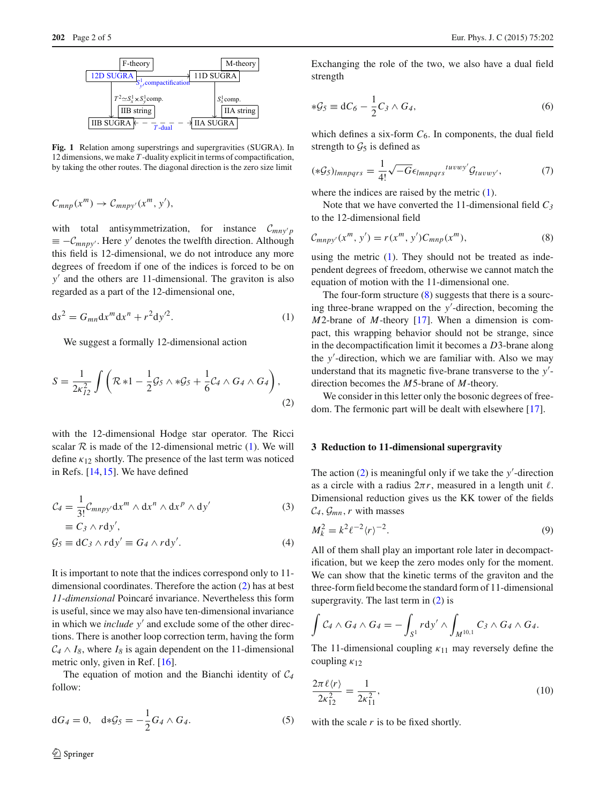

<span id="page-1-0"></span>**Fig. 1** Relation among superstrings and supergravities (SUGRA). In 12 dimensions, we make *T* -duality explicit in terms of compactification, by taking the other routes. The diagonal direction is the zero size limit

$$
C_{mnp}(x^m) \to C_{mnpy'}(x^m, y'),
$$

with total antisymmetrization, for instance  $C_{mn\nu}$  $\equiv -C_{mnpy'}$ . Here y' denotes the twelfth direction. Although this field is 12-dimensional, we do not introduce any more degrees of freedom if one of the indices is forced to be on *y* and the others are 11-dimensional. The graviton is also regarded as a part of the 12-dimensional one,

<span id="page-1-1"></span>
$$
ds2 = Gmn dxm dxn + r2 dy2.
$$
 (1)

We suggest a formally 12-dimensional action

$$
S = \frac{1}{2\kappa_{12}^2} \int \left( \mathcal{R} * 1 - \frac{1}{2} \mathcal{G}_5 \wedge * \mathcal{G}_5 + \frac{1}{6} \mathcal{C}_4 \wedge G_4 \wedge G_4 \right),\tag{2}
$$

with the 12-dimensional Hodge star operator. The Ricci scalar  $R$  is made of the 12-dimensional metric [\(1\)](#page-1-1). We will define  $\kappa_{12}$  shortly. The presence of the last term was noticed in Refs. [\[14](#page-4-12)[,15](#page-4-13)]. We have defined

$$
\mathcal{C}_4 = \frac{1}{3!} \mathcal{C}_{mnpy'} dx^m \wedge dx^n \wedge dx^p \wedge dy'
$$
  
\n
$$
\equiv C_3 \wedge r dy',
$$
\n(3)

$$
\mathcal{G}_5 \equiv \mathrm{d}C_3 \wedge r\mathrm{d}y' \equiv G_4 \wedge r\mathrm{d}y'.\tag{4}
$$

It is important to note that the indices correspond only to 11 dimensional coordinates. Therefore the action [\(2\)](#page-1-2) has at best *11-dimensional* Poincaré invariance. Nevertheless this form is useful, since we may also have ten-dimensional invariance in which we *include y'* and exclude some of the other directions. There is another loop correction term, having the form  $C_4 \wedge I_8$ , where  $I_8$  is again dependent on the 11-dimensional metric only, given in Ref. [\[16](#page-4-14)].

The equation of motion and the Bianchi identity of *C<sup>4</sup>* follow:

$$
dG_4 = 0, \quad d * \mathcal{G}_5 = -\frac{1}{2} G_4 \wedge G_4. \tag{5}
$$

<span id="page-1-6"></span>Exchanging the role of the two, we also have a dual field strength

$$
*\mathcal{G}_5 \equiv \mathrm{d}C_6 - \frac{1}{2}C_3 \wedge G_4,\tag{6}
$$

which defines a six-form  $C_6$ . In components, the dual field strength to  $\mathcal{G}_5$  is defined as

<span id="page-1-7"></span>
$$
(*\mathcal{G}_5)_{lmnpqrs} = \frac{1}{4!} \sqrt{-G} \epsilon_{lmnpqrs}^{tuvwy'} \mathcal{G}_{tuvwy'}, \tag{7}
$$

where the indices are raised by the metric  $(1)$ .

Note that we have converted the 11-dimensional field *C3* to the 12-dimensional field

<span id="page-1-3"></span>
$$
C_{mnpy'}(x^m, y') = r(x^m, y')C_{mnp}(x^m),
$$
\n(8)

using the metric  $(1)$ . They should not be treated as independent degrees of freedom, otherwise we cannot match the equation of motion with the 11-dimensional one.

<span id="page-1-2"></span>The four-form structure  $(8)$  suggests that there is a sourcing three-brane wrapped on the *y* -direction, becoming the *M*2-brane of *M*-theory [\[17\]](#page-4-15). When a dimension is compact, this wrapping behavior should not be strange, since in the decompactification limit it becomes a *D*3-brane along the *y* -direction, which we are familiar with. Also we may understand that its magnetic five-brane transverse to the *y* direction becomes the *M*5-brane of *M*-theory.

We consider in this letter only the bosonic degrees of freedom. The fermonic part will be dealt with elsewhere [\[17\]](#page-4-15).

#### **3 Reduction to 11-dimensional supergravity**

The action  $(2)$  is meaningful only if we take the *y*'-direction as a circle with a radius  $2\pi r$ , measured in a length unit  $\ell$ . Dimensional reduction gives us the KK tower of the fields  $C_4$ ,  $\mathcal{G}_{mn}$ , *r* with masses

<span id="page-1-5"></span><span id="page-1-4"></span>
$$
M_k^2 = k^2 \ell^{-2} \langle r \rangle^{-2}.
$$
\n(9)

All of them shall play an important role later in decompactification, but we keep the zero modes only for the moment. We can show that the kinetic terms of the graviton and the three-form field become the standard form of 11-dimensional supergravity. The last term in  $(2)$  is

$$
\int C_4 \wedge G_4 \wedge G_4 = - \int_{S^1} r \, dy' \wedge \int_{M^{10,1}} C_3 \wedge G_4 \wedge G_4.
$$

The 11-dimensional coupling  $\kappa_{11}$  may reversely define the coupling  $\kappa_{12}$ 

$$
\frac{2\pi\ell\langle r\rangle}{2\kappa_{12}^2} = \frac{1}{2\kappa_{11}^2},\tag{10}
$$

with the scale *r* is to be fixed shortly.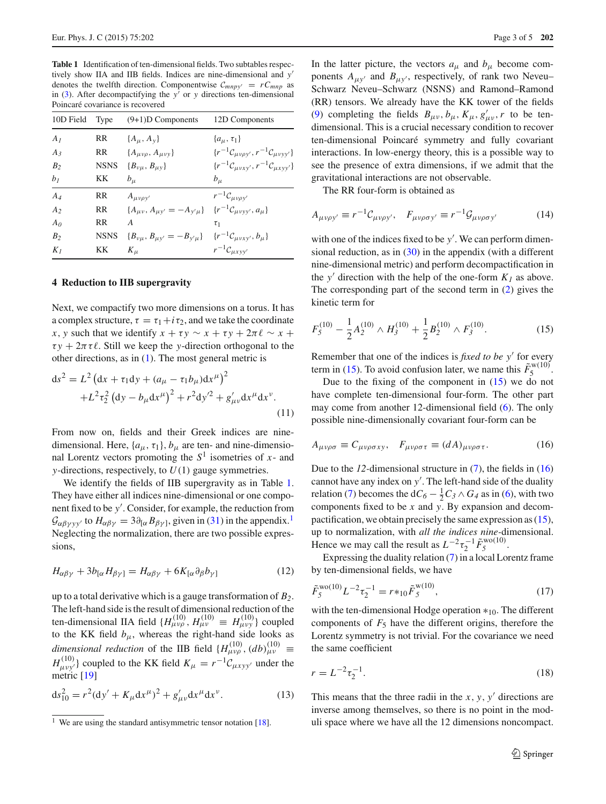<span id="page-2-0"></span>**Table 1** Identification of ten-dimensional fields. Two subtables respectively show IIA and IIB fields. Indices are nine-dimensional and *y* denotes the twelfth direction. Componentwise  $C_{mnpy'} = rC_{mnp}$  as in  $(3)$ . After decompactifying the *y'* or *y* directions ten-dimensional Poincaré covariance is recovered

| 10D Field      | Type        | $(9+1)D$ Components                                                             | 12D Components                                       |
|----------------|-------------|---------------------------------------------------------------------------------|------------------------------------------------------|
| A <sub>1</sub> | RR          | ${A_\mu, A_\nu}$                                                                | $\{a_{\mu},\tau_1\}$                                 |
| $A_3$          | RR.         | $\{A_{\mu\nu\rho}, A_{\mu\nu\nu}\}\$                                            | $\{r^{-1}C_{\mu\nu\rho y'}, r^{-1}C_{\mu\nu y y'}\}$ |
| B <sub>2</sub> | <b>NSNS</b> | ${B_{\nu\mu}, B_{\mu\nu}}$                                                      | $\{r^{-1}C_{\mu vxy'}, r^{-1}C_{\mu xyy'}\}$         |
| b <sub>1</sub> | KК          | $b_{\mu}$                                                                       | $b_{\mu}$                                            |
| $A_4$          | RR          | $A_{\mu\nu\rho y'}$                                                             | $r^{-1}C_{\mu\nu\rho y'}$                            |
| A <sub>2</sub> | RR.         | ${A_{\mu\nu}, A_{\mu\nu'} = -A_{\nu'\mu}}$ ${r^{-1}C_{\mu\nu\nu\nu'}, a_{\mu}}$ |                                                      |
| A <sub>0</sub> | RR          | A                                                                               | $\tau_1$                                             |
| B <sub>2</sub> | <b>NSNS</b> | ${B_{\nu\mu}, B_{\mu\nu'} = -B_{\nu'\mu}}$ ${r^{-1}C_{\mu\nu x\nu'}, b_{\mu}}$  |                                                      |
| $K_I$          | KΚ          | $K_{\mu}$                                                                       | $r^{-1}C_{\mu x y y'}$                               |

#### **4 Reduction to IIB supergravity**

Next, we compactify two more dimensions on a torus. It has a complex structure,  $\tau = \tau_1 + i \tau_2$ , and we take the coordinate *x*, *y* such that we identify  $x + \tau y \sim x + \tau y + 2\pi \ell \sim x +$  $\tau y + 2\pi \tau \ell$ . Still we keep the *y*-direction orthogonal to the other directions, as in [\(1\)](#page-1-1). The most general metric is

<span id="page-2-6"></span>
$$
ds^{2} = L^{2} (dx + \tau_{1} dy + (a_{\mu} - \tau_{1} b_{\mu}) dx^{\mu})^{2}
$$
  
+L^{2} \tau\_{2}^{2} (dy - b\_{\mu} dx^{\mu})^{2} + r^{2} dy'^{2} + g'\_{\mu\nu} dx^{\mu} dx^{\nu}. (11)

From now on, fields and their Greek indices are ninedimensional. Here,  $\{a_{\mu}, \tau_1\}$ ,  $b_{\mu}$  are ten- and nine-dimensional Lorentz vectors promoting the  $S<sup>1</sup>$  isometries of *x*- and *y*-directions, respectively, to *U*(1) gauge symmetries.

We identify the fields of IIB supergravity as in Table [1.](#page-2-0) They have either all indices nine-dimensional or one component fixed to be *y* . Consider, for example, the reduction from  $\mathcal{G}_{\alpha\beta\gamma\gamma\gamma'}$  to  $H_{\alpha\beta\gamma} = 3\partial_{\alpha}B_{\beta\gamma}$ , given in [\(31\)](#page-4-16) in the appendix.<sup>[1](#page-2-1)</sup> Neglecting the normalization, there are two possible expressions,

$$
H_{\alpha\beta\gamma} + 3b_{\left[\alpha\right]}H_{\beta\gamma} = H_{\alpha\beta\gamma} + 6K_{\left[\alpha\right]}\partial_{\beta}b_{\gamma}
$$
 (12)

up to a total derivative which is a gauge transformation of *B2*. The left-hand side is the result of dimensional reduction of the ten-dimensional IIA field  $\{H_{\mu\nu\rho}^{(10)}, H_{\mu\nu}^{(10)} \equiv H_{\mu\nu y}^{(10)}\}\$ coupled to the KK field  $b_{\mu}$ , whereas the right-hand side looks as *dimensional reduction* of the IIB field  $\{H^{(10)}_{\mu\nu\rho}, (db)^{(10)}_{\mu\nu} \equiv$  $H_{\mu\nu\nu}^{(10)}$ } coupled to the KK field  $K_{\mu} = r^{-1}C_{\mu x y y'}$  under the metric [\[19](#page-4-17)]

<span id="page-2-5"></span>
$$
ds_{10}^2 = r^2 (dy' + K_\mu dx^\mu)^2 + g'_{\mu\nu} dx^\mu dx^\nu.
$$
 (13)

In the latter picture, the vectors  $a_{\mu}$  and  $b_{\mu}$  become components  $A_{\mu y'}$  and  $B_{\mu y'}$ , respectively, of rank two Neveu– Schwarz Neveu–Schwarz (NSNS) and Ramond–Ramond (RR) tensors. We already have the KK tower of the fields [\(9\)](#page-1-5) completing the fields  $B_{\mu\nu}$ ,  $b_{\mu}$ ,  $K_{\mu}$ ,  $g'_{\mu\nu}$ , *r* to be tendimensional. This is a crucial necessary condition to recover ten-dimensional Poincaré symmetry and fully covariant interactions. In low-energy theory, this is a possible way to see the presence of extra dimensions, if we admit that the gravitational interactions are not observable.

The RR four-form is obtained as

$$
A_{\mu\nu\rho y'} \equiv r^{-1} C_{\mu\nu\rho y'}, \quad F_{\mu\nu\rho\sigma y'} \equiv r^{-1} \mathcal{G}_{\mu\nu\rho\sigma y'} \tag{14}
$$

with one of the indices fixed to be *y* . We can perform dimensional reduction, as in  $(30)$  in the appendix (with a different nine-dimensional metric) and perform decompactification in the *y'* direction with the help of the one-form  $K_l$  as above. The corresponding part of the second term in [\(2\)](#page-1-2) gives the kinetic term for

<span id="page-2-2"></span>
$$
F_5^{(10)} - \frac{1}{2}A_2^{(10)} \wedge H_3^{(10)} + \frac{1}{2}B_2^{(10)} \wedge F_3^{(10)}.
$$
 (15)

Remember that one of the indices is *fixed to be y* for every term in [\(15\)](#page-2-2). To avoid confusion later, we name this  $\tilde{F}_5^{\text{w}(10)}$ .

Due to the fixing of the component in  $(15)$  we do not have complete ten-dimensional four-form. The other part may come from another 12-dimensional field [\(6\)](#page-1-6). The only possible nine-dimensionally covariant four-form can be

<span id="page-2-3"></span>
$$
A_{\mu\nu\rho\sigma} \equiv C_{\mu\nu\rho\sigma xy}, \quad F_{\mu\nu\rho\sigma\tau} \equiv (dA)_{\mu\nu\rho\sigma\tau}.
$$
 (16)

Due to the *12-*dimensional structure in [\(7\)](#page-1-7), the fields in [\(16\)](#page-2-3) cannot have any index on *y* . The left-hand side of the duality relation [\(7\)](#page-1-7) becomes the  $dC_6 - \frac{1}{2}C_3 \wedge G_4$  as in [\(6\)](#page-1-6), with two components fixed to be *x* and *y*. By expansion and decompactification, we obtain precisely the same expression as [\(15\)](#page-2-2), up to normalization, with *all the indices nine-*dimensional. Hence we may call the result as  $L^{-2} \tau_2^{-1} \tilde{F}_5^{\text{wo}(10)}$ .

Expressing the duality relation [\(7\)](#page-1-7) in a local Lorentz frame by ten-dimensional fields, we have

<span id="page-2-4"></span>
$$
\tilde{F}_{5}^{\text{wo}(10)} L^{-2} \tau_{2}^{-1} = r *_{10} \tilde{F}_{5}^{\text{w}(10)},\tag{17}
$$

with the ten-dimensional Hodge operation ∗10. The different components of  $F_5$  have the different origins, therefore the Lorentz symmetry is not trivial. For the covariance we need the same coefficient

<span id="page-2-7"></span>
$$
r = L^{-2} \tau_2^{-1}.
$$
 (18)

This means that the three radii in the *x*, *y*, *y* directions are inverse among themselves, so there is no point in the moduli space where we have all the 12 dimensions noncompact.

<span id="page-2-1"></span><sup>&</sup>lt;sup>1</sup> We are using the standard antisymmetric tensor notation [\[18\]](#page-4-18).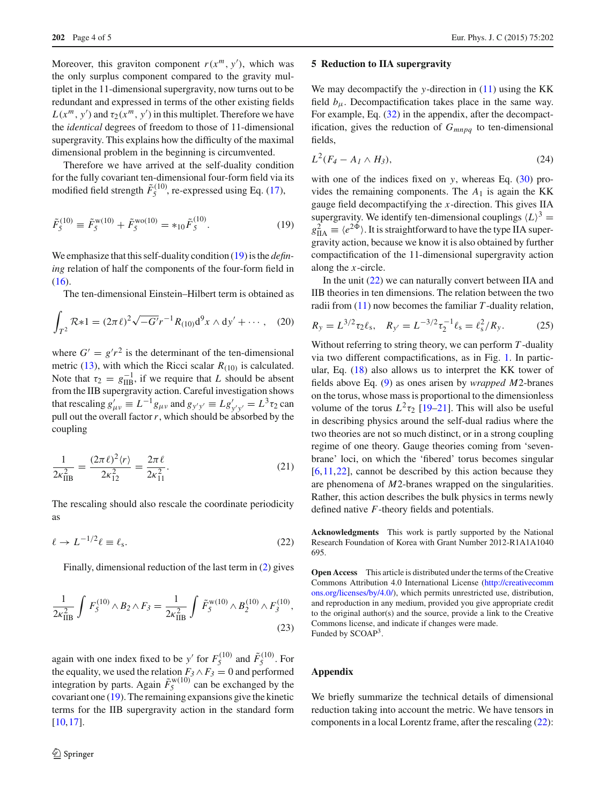Moreover, this graviton component  $r(x^m, y')$ , which was the only surplus component compared to the gravity multiplet in the 11-dimensional supergravity, now turns out to be redundant and expressed in terms of the other existing fields  $L(x^m, y')$  and  $\tau_2(x^m, y')$  in this multiplet. Therefore we have the *identical* degrees of freedom to those of 11-dimensional supergravity. This explains how the difficulty of the maximal dimensional problem in the beginning is circumvented.

Therefore we have arrived at the self-duality condition for the fully covariant ten-dimensional four-form field via its modified field strength  $\tilde{F}_5^{(10)}$ , re-expressed using Eq. [\(17\)](#page-2-4),

$$
\tilde{F}_5^{(10)} \equiv \tilde{F}_5^{\text{w}(10)} + \tilde{F}_5^{\text{w}(10)} = *_{10} \tilde{F}_5^{(10)}.
$$
\n(19)

We emphasize that this self-duality condition [\(19\)](#page-3-0) is the *defining* relation of half the components of the four-form field in [\(16\)](#page-2-3).

The ten-dimensional Einstein–Hilbert term is obtained as

$$
\int_{T^2} \mathcal{R} * 1 = (2\pi \ell)^2 \sqrt{-G'} r^{-1} R_{(10)} d^9 x \wedge dy' + \cdots, \quad (20)
$$

where  $G' = g'r^2$  is the determinant of the ten-dimensional metric [\(13\)](#page-2-5), with which the Ricci scalar  $R_{(10)}$  is calculated. Note that  $\tau_2 = g_{\text{IIB}}^{-1}$ , if we require that *L* should be absent from the IIB supergravity action. Careful investigation shows that rescaling  $g'_{\mu\nu} \equiv L^{-1}g_{\mu\nu}$  and  $g_{y'y'} \equiv Lg'_{y'y'} = L^3\tau_2$  can pull out the overall factor  $r$ , which should be absorbed by the coupling

$$
\frac{1}{2\kappa_{\text{IIB}}^2} = \frac{(2\pi \ell)^2 \langle r \rangle}{2\kappa_{12}^2} = \frac{2\pi \ell}{2\kappa_{11}^2}.
$$
 (21)

The rescaling should also rescale the coordinate periodicity as

<span id="page-3-1"></span>
$$
\ell \to L^{-1/2} \ell \equiv \ell_{\rm s}.\tag{22}
$$

Finally, dimensional reduction of the last term in [\(2\)](#page-1-2) gives

$$
\frac{1}{2\kappa_{\text{IIB}}^2} \int F_5^{(10)} \wedge B_2 \wedge F_3 = \frac{1}{2\kappa_{\text{IIB}}^2} \int \tilde{F}_5^{\text{w}(10)} \wedge B_2^{(10)} \wedge F_3^{(10)},\tag{23}
$$

again with one index fixed to be *y'* for  $F_5^{(10)}$  and  $\tilde{F}_5^{(10)}$ . For the equality, we used the relation  $F_3 \wedge F_3 = 0$  and performed integration by parts. Again  $\tilde{F}_5^{\text{w}(10)}$  can be exchanged by the covariant one [\(19\)](#page-3-0). The remaining expansions give the kinetic terms for the IIB supergravity action in the standard form [\[10](#page-4-9),[17\]](#page-4-15).

#### **5 Reduction to IIA supergravity**

We may decompactify the *y*-direction in [\(11\)](#page-2-6) using the KK field  $b_{\mu}$ . Decompactification takes place in the same way. For example, Eq. [\(32\)](#page-4-16) in the appendix, after the decompactification, gives the reduction of *Gmnpq* to ten-dimensional fields,

$$
L^2(F_4 - A_1 \wedge H_3), \tag{24}
$$

<span id="page-3-0"></span>with one of the indices fixed on  $y$ , whereas Eq.  $(30)$  provides the remaining components. The  $A_1$  is again the KK gauge field decompactifying the *x*-direction. This gives IIA supergravity. We identify ten-dimensional couplings  $\langle L \rangle^3$  =  $g_{\text{IIA}}^2 \equiv \langle e^{2\Phi} \rangle$ . It is straightforward to have the type IIA supergravity action, because we know it is also obtained by further compactification of the 11-dimensional supergravity action along the *x*-circle.

In the unit [\(22\)](#page-3-1) we can naturally convert between IIA and IIB theories in ten dimensions. The relation between the two radii from [\(11\)](#page-2-6) now becomes the familiar *T* -duality relation,

$$
R_{y} = L^{3/2} \tau_{2} \ell_{s}, \quad R_{y'} = L^{-3/2} \tau_{2}^{-1} \ell_{s} = \ell_{s}^{2} / R_{y}.
$$
 (25)

Without referring to string theory, we can perform *T* -duality via two different compactifications, as in Fig. [1.](#page-1-0) In particular, Eq. [\(18\)](#page-2-7) also allows us to interpret the KK tower of fields above Eq. [\(9\)](#page-1-5) as ones arisen by *wrapped M*2-branes on the torus, whose mass is proportional to the dimensionless volume of the torus  $L^2 \tau_2$  [\[19](#page-4-17)[–21\]](#page-4-19). This will also be useful in describing physics around the self-dual radius where the two theories are not so much distinct, or in a strong coupling regime of one theory. Gauge theories coming from 'sevenbrane' loci, on which the 'fibered' torus becomes singular  $[6,11,22]$  $[6,11,22]$  $[6,11,22]$  $[6,11,22]$ , cannot be described by this action because they are phenomena of *M*2-branes wrapped on the singularities. Rather, this action describes the bulk physics in terms newly defined native *F*-theory fields and potentials.

**Acknowledgments** This work is partly supported by the National Research Foundation of Korea with Grant Number 2012-R1A1A1040 695.

**Open Access** This article is distributed under the terms of the Creative Commons Attribution 4.0 International License [\(http://creativecomm](http://creativecommons.org/licenses/by/4.0/) [ons.org/licenses/by/4.0/\)](http://creativecommons.org/licenses/by/4.0/), which permits unrestricted use, distribution, and reproduction in any medium, provided you give appropriate credit to the original author(s) and the source, provide a link to the Creative Commons license, and indicate if changes were made. Funded by SCOAP<sup>3</sup>.

## **Appendix**

We briefly summarize the technical details of dimensional reduction taking into account the metric. We have tensors in components in a local Lorentz frame, after the rescaling [\(22\)](#page-3-1):